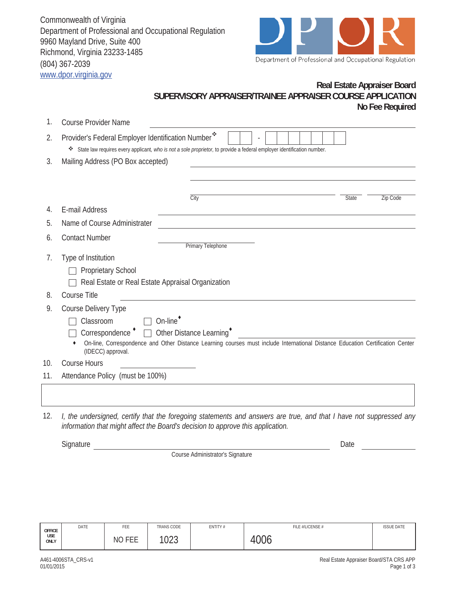Commonwealth of Virginia Department of Professional and Occupational Regulation 9960 Mayland Drive, Suite 400 Richmond, Virginia 23233-1485 (804) 367-2039 www.dpor.virginia.gov



## **Real Estate Appraiser Board SUPERVISORY APPRAISER/TRAINEE APPRAISER COURSE APPLICATION No Fee Required**

| 1.                                      | <b>Course Provider Name</b>                                                                                                                                                    |  |  |  |  |  |  |
|-----------------------------------------|--------------------------------------------------------------------------------------------------------------------------------------------------------------------------------|--|--|--|--|--|--|
| 2.                                      | Provider's Federal Employer Identification Number*<br>* State law requires every applicant, who is not a sole proprietor, to provide a federal employer identification number. |  |  |  |  |  |  |
| 3.<br>Mailing Address (PO Box accepted) |                                                                                                                                                                                |  |  |  |  |  |  |
|                                         |                                                                                                                                                                                |  |  |  |  |  |  |
|                                         |                                                                                                                                                                                |  |  |  |  |  |  |
|                                         | City<br><b>State</b><br>Zip Code                                                                                                                                               |  |  |  |  |  |  |
| 4.                                      | E-mail Address                                                                                                                                                                 |  |  |  |  |  |  |
| 5.                                      | Name of Course Administrater                                                                                                                                                   |  |  |  |  |  |  |
| 6.                                      | <b>Contact Number</b><br><b>Primary Telephone</b>                                                                                                                              |  |  |  |  |  |  |
| 7.                                      | Type of Institution                                                                                                                                                            |  |  |  |  |  |  |
|                                         | <b>Proprietary School</b>                                                                                                                                                      |  |  |  |  |  |  |
|                                         | Real Estate or Real Estate Appraisal Organization                                                                                                                              |  |  |  |  |  |  |
| 8.                                      | <b>Course Title</b>                                                                                                                                                            |  |  |  |  |  |  |
| 9.                                      | Course Delivery Type                                                                                                                                                           |  |  |  |  |  |  |
|                                         | On-line <sup>+</sup><br>Classroom                                                                                                                                              |  |  |  |  |  |  |
|                                         | Correspondence " □ Other Distance Learning"                                                                                                                                    |  |  |  |  |  |  |
|                                         | On-line, Correspondence and Other Distance Learning courses must include International Distance Education Certification Center<br>(IDECC) approval.                            |  |  |  |  |  |  |
| 10.                                     | <b>Course Hours</b>                                                                                                                                                            |  |  |  |  |  |  |
| 11.                                     | Attendance Policy (must be 100%)                                                                                                                                               |  |  |  |  |  |  |
|                                         |                                                                                                                                                                                |  |  |  |  |  |  |
|                                         |                                                                                                                                                                                |  |  |  |  |  |  |
|                                         |                                                                                                                                                                                |  |  |  |  |  |  |

12. *I, the undersigned, certify that the foregoing statements and answers are true, and that I have not suppressed any information that might affect the Board's decision to approve this application.*

Signature Date

Course Administrator's Signature

| <b>OFFICE</b><br>USE<br>ONLY | DATE | FEE                 | TRANS CODE            | ENTITY# | FILE #/LICENSE #   | <b>ISSUE DATE</b> |
|------------------------------|------|---------------------|-----------------------|---------|--------------------|-------------------|
|                              |      | <b>NO FEE</b><br>⊢∟ | 10 $2^{\circ}$<br>∪∠ບ |         | $\cap$<br>UU0<br>↵ |                   |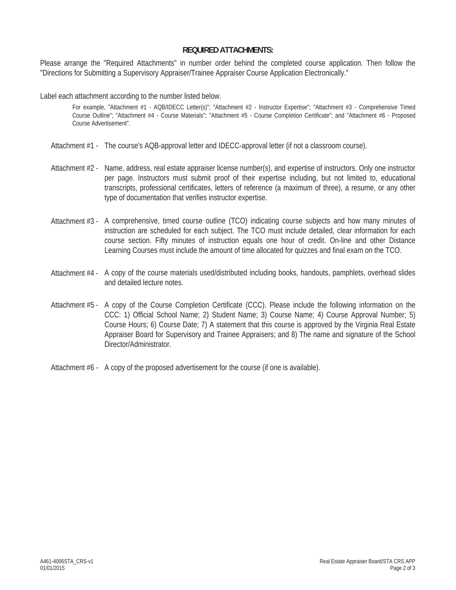## **REQUIRED ATTACHMENTS:**

Please arrange the "Required Attachments" in number order behind the completed course application. Then follow the "Directions for Submitting a Supervisory Appraiser/Trainee Appraiser Course Application Electronically."

Label each attachment according to the number listed below.

For example, "Attachment #1 - AQB/IDECC Letter(s)"; "Attachment #2 - Instructor Expertise"; "Attachment #3 - Comprehensive Timed Course Outline"; "Attachment #4 - Course Materials"; "Attachment #5 - Course Completion Certificate"; and "Attachment #6 - Proposed Course Advertisement".

- Attachment #1 The course's AQB-approval letter and IDECC-approval letter (if not a classroom course).
- Attachment #2 Name, address, real estate appraiser license number(s), and expertise of instructors. Only one instructor per page. Instructors must submit proof of their expertise including, but not limited to, educational transcripts, professional certificates, letters of reference (a maximum of three), a resume, or any other type of documentation that verifies instructor expertise.
- Attachment #3 A comprehensive, timed course outline (TCO) indicating course subjects and how many minutes of instruction are scheduled for each subject. The TCO must include detailed, clear information for each course section. Fifty minutes of instruction equals one hour of credit. On-line and other Distance Learning Courses must include the amount of time allocated for quizzes and final exam on the TCO.
- Attachment #4 A copy of the course materials used/distributed including books, handouts, pamphlets, overhead slides and detailed lecture notes.
- Attachment #5 A copy of the Course Completion Certificate (CCC). Please include the following information on the CCC: 1) Official School Name; 2) Student Name; 3) Course Name; 4) Course Approval Number; 5) Course Hours; 6) Course Date; 7) A statement that this course is approved by the Virginia Real Estate Appraiser Board for Supervisory and Trainee Appraisers; and 8) The name and signature of the School Director/Administrator.
- Attachment #6 A copy of the proposed advertisement for the course (if one is available).